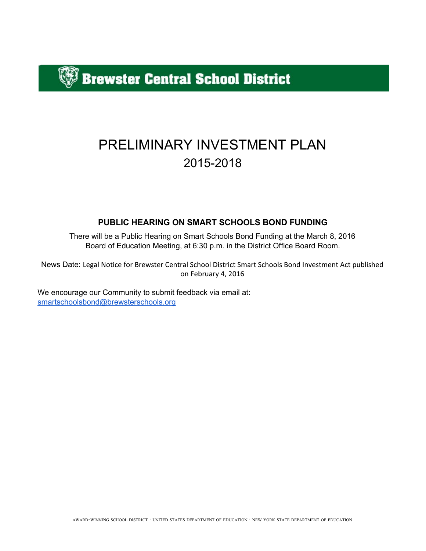$\beta$  Brewster Central School District

# PRELIMINARY INVESTMENT PLAN 20152018

# **PUBLIC HEARING ON SMART SCHOOLS BOND FUNDING**

There will be a Public Hearing on Smart Schools Bond Funding at the March 8, 2016 Board of Education Meeting, at 6:30 p.m. in the District Office Board Room.

News Date: Legal Notice for Brewster Central School District Smart Schools Bond Investment Act published on February 4, 2016

We encourage our Community to submit feedback via email at: [smartschoolsbond@brewsterschools.org](mailto:smartschoolsbond@brewsterschools.org)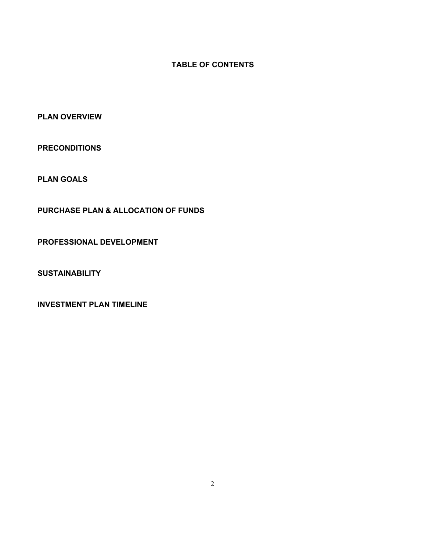## **TABLE OF CONTENTS**

**PLAN OVERVIEW**

**PRECONDITIONS**

**PLAN GOALS**

**PURCHASE PLAN & ALLOCATION OF FUNDS**

**PROFESSIONAL DEVELOPMENT**

**SUSTAINABILITY**

**INVESTMENT PLAN TIMELINE**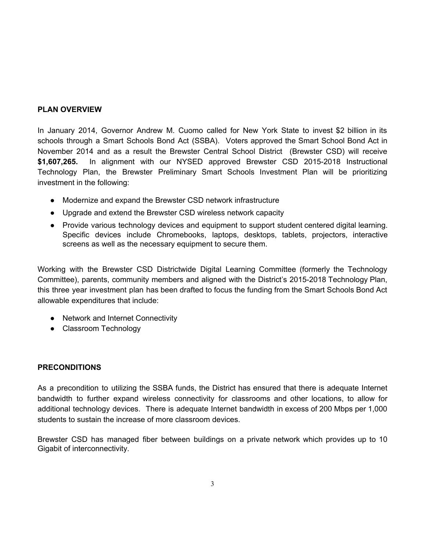## **PLAN OVERVIEW**

In January 2014, Governor Andrew M. Cuomo called for New York State to invest \$2 billion in its schools through a Smart Schools Bond Act (SSBA). Voters approved the Smart School Bond Act in November 2014 and as a result the Brewster Central School District (Brewster CSD) will receive \$1,607,265. In alignment with our NYSED approved Brewster CSD 2015-2018 Instructional Technology Plan, the Brewster Preliminary Smart Schools Investment Plan will be prioritizing investment in the following:

- Modernize and expand the Brewster CSD network infrastructure
- Upgrade and extend the Brewster CSD wireless network capacity
- Provide various technology devices and equipment to support student centered digital learning. Specific devices include Chromebooks, laptops, desktops, tablets, projectors, interactive screens as well as the necessary equipment to secure them.

Working with the Brewster CSD Districtwide Digital Learning Committee (formerly the Technology Committee), parents, community members and aligned with the District's 2015-2018 Technology Plan, this three year investment plan has been drafted to focus the funding from the Smart Schools Bond Act allowable expenditures that include:

- Network and Internet Connectivity
- Classroom Technology

# **PRECONDITIONS**

As a precondition to utilizing the SSBA funds, the District has ensured that there is adequate Internet bandwidth to further expand wireless connectivity for classrooms and other locations, to allow for additional technology devices. There is adequate Internet bandwidth in excess of 200 Mbps per 1,000 students to sustain the increase of more classroom devices.

Brewster CSD has managed fiber between buildings on a private network which provides up to 10 Gigabit of interconnectivity.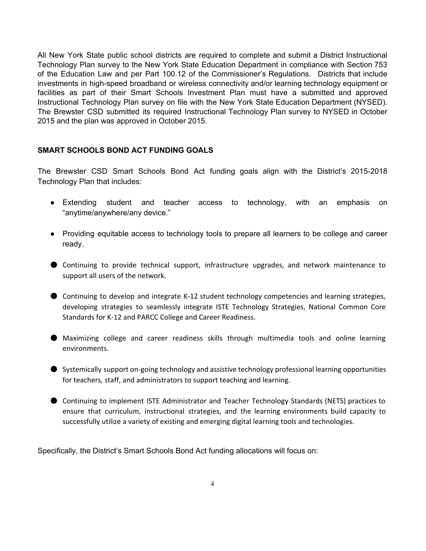All New York State public school districts are required to complete and submit a District Instructional Technology Plan survey to the New York State Education Department in compliance with Section 753 of the Education Law and per Part 100.12 of the Commissioner's Regulations. Districts that include investments in high-speed broadband or wireless connectivity and/or learning technology equipment or facilities as part of their Smart Schools Investment Plan must have a submitted and approved Instructional Technology Plan survey on file with the New York State Education Department (NYSED). The Brewster CSD submitted its required Instructional Technology Plan survey to NYSED in October 2015 and the plan was approved in October 2015.

### **SMART SCHOOLS BOND ACT FUNDING GOALS**

The Brewster CSD Smart Schools Bond Act funding goals align with the District's 2015-2018 Technology Plan that includes:

- Extending student and teacher access to technology, with an emphasis on "anytime/anywhere/any device."
- Providing equitable access to technology tools to prepare all learners to be college and career ready.
- Continuing to provide technical support, infrastructure upgrades, and network maintenance to support all users of the network.
- Continuing to develop and integrate K-12 student technology competencies and learning strategies, developing strategies to seamlessly integrate ISTE Technology Strategies, National Common Core Standards for K-12 and PARCC College and Career Readiness.
- Maximizing college and career readiness skills through multimedia tools and online learning environments.
- Systemically support on-going technology and assistive technology professional learning opportunities for teachers, staff, and administrators to support teaching and learning.
- Continuing to implement ISTE Administrator and Teacher Technology Standards (NETS) practices to ensure that curriculum, instructional strategies, and the learning environments build capacity to successfully utilize a variety of existing and emerging digital learning tools and technologies.

Specifically, the District's Smart Schools Bond Act funding allocations will focus on: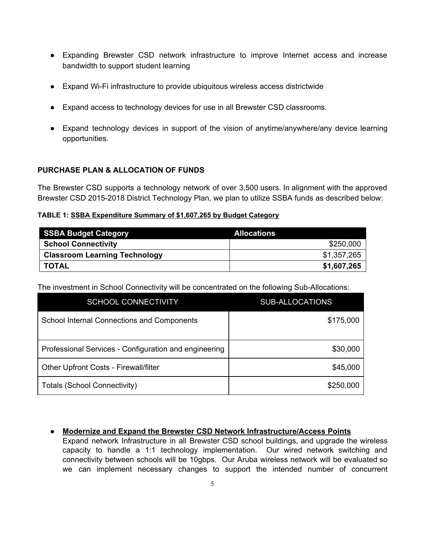- Expanding Brewster CSD network infrastructure to improve Internet access and increase bandwidth to support student learning
- Expand WiFi infrastructure to provide ubiquitous wireless access districtwide
- Expand access to technology devices for use in all Brewster CSD classrooms.
- Expand technology devices in support of the vision of anytime/anywhere/any device learning opportunities.

## **PURCHASE PLAN & ALLOCATION OF FUNDS**

The Brewster CSD supports a technology network of over 3,500 users. In alignment with the approved Brewster CSD 2015-2018 District Technology Plan, we plan to utilize SSBA funds as described below:

## **TABLE 1: SSBA Expenditure Summary of \$1,607,265 by Budget Category**

| <b>SSBA Budget Category</b>          | <b>Allocations</b> |
|--------------------------------------|--------------------|
| <b>School Connectivity</b>           | \$250,000          |
| <b>Classroom Learning Technology</b> | \$1,357,265        |
| <b>TOTAL</b>                         | \$1,607,265        |

The investment in School Connectivity will be concentrated on the following Sub-Allocations:

| <b>SCHOOL CONNECTIVITY</b>                            | <b>SUB-ALLOCATIONS</b> |
|-------------------------------------------------------|------------------------|
| School Internal Connections and Components            | \$175,000              |
| Professional Services - Configuration and engineering | \$30,000               |
| <b>Other Upfront Costs - Firewall/filter</b>          | \$45,000               |
| Totals (School Connectivity)                          | \$250,000              |

**● Modernize and Expand the Brewster CSD Network Infrastructure/Access Points** Expand network Infrastructure in all Brewster CSD school buildings, and upgrade the wireless capacity to handle a 1:1 technology implementation. Our wired network switching and connectivity between schools will be 10gbps. Our Aruba wireless network will be evaluated so

we can implement necessary changes to support the intended number of concurrent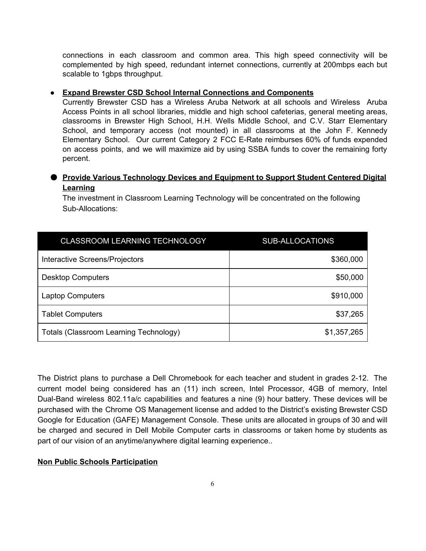connections in each classroom and common area. This high speed connectivity will be complemented by high speed, redundant internet connections, currently at 200mbps each but scalable to 1gbps throughput.

#### **● Expand Brewster CSD School Internal Connections and Components**

Currently Brewster CSD has a Wireless Aruba Network at all schools and Wireless Aruba Access Points in all school libraries, middle and high school cafeterias, general meeting areas, classrooms in Brewster High School, H.H. Wells Middle School, and C.V. Starr Elementary School, and temporary access (not mounted) in all classrooms at the John F. Kennedy Elementary School. Our current Category 2 FCC E-Rate reimburses 60% of funds expended on access points, and we will maximize aid by using SSBA funds to cover the remaining forty percent.

## ● **Provide Various Technology Devices and Equipment to Support Student Centered Digital Learning**

The investment in Classroom Learning Technology will be concentrated on the following Sub-Allocations:

| <b>CLASSROOM LEARNING TECHNOLOGY</b>   | <b>SUB-ALLOCATIONS</b> |
|----------------------------------------|------------------------|
| Interactive Screens/Projectors         | \$360,000              |
| <b>Desktop Computers</b>               | \$50,000               |
| <b>Laptop Computers</b>                | \$910,000              |
| <b>Tablet Computers</b>                | \$37,265               |
| Totals (Classroom Learning Technology) | \$1,357,265            |

The District plans to purchase a Dell Chromebook for each teacher and student in grades 2-12. The current model being considered has an (11) inch screen, Intel Processor, 4GB of memory, Intel Dual-Band wireless 802.11a/c capabilities and features a nine (9) hour battery. These devices will be purchased with the Chrome OS Management license and added to the District's existing Brewster CSD Google for Education (GAFE) Management Console. These units are allocated in groups of 30 and will be charged and secured in Dell Mobile Computer carts in classrooms or taken home by students as part of our vision of an anytime/anywhere digital learning experience..

#### **Non Public Schools Participation**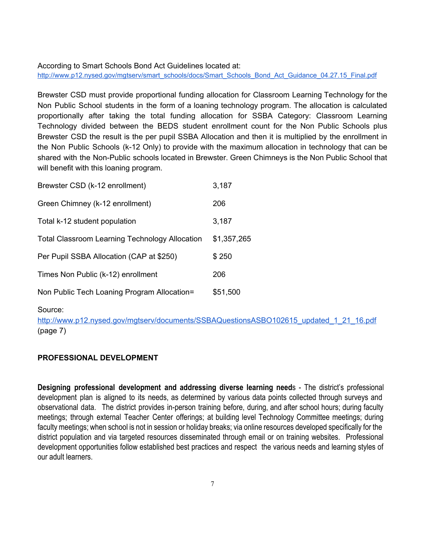According to Smart Schools Bond Act Guidelines located at: [http://www.p12.nysed.gov/mgtserv/smart\\_schools/docs/Smart\\_Schools\\_Bond\\_Act\\_Guidance\\_04.27.15\\_Final.pdf](http://www.p12.nysed.gov/mgtserv/smart_schools/docs/Smart_Schools_Bond_Act_Guidance_04.27.15_Final.pdf)

Brewster CSD must provide proportional funding allocation for Classroom Learning Technology for the Non Public School students in the form of a loaning technology program. The allocation is calculated proportionally after taking the total funding allocation for SSBA Category: Classroom Learning Technology divided between the BEDS student enrollment count for the Non Public Schools plus Brewster CSD the result is the per pupil SSBA Allocation and then it is multiplied by the enrollment in the Non Public Schools (k-12 Only) to provide with the maximum allocation in technology that can be shared with the Non-Public schools located in Brewster. Green Chimneys is the Non Public School that will benefit with this loaning program.

| Brewster CSD (k-12 enrollment)                        | 3,187       |
|-------------------------------------------------------|-------------|
| Green Chimney (k-12 enrollment)                       | 206         |
| Total k-12 student population                         | 3,187       |
| <b>Total Classroom Learning Technology Allocation</b> | \$1,357,265 |
| Per Pupil SSBA Allocation (CAP at \$250)              | \$250       |
| Times Non Public (k-12) enrollment                    | 206         |
| Non Public Tech Loaning Program Allocation=           | \$51,500    |

Source:

[http://www.p12.nysed.gov/mgtserv/documents/SSBAQuestionsASBO102615\\_updated\\_1\\_21\\_16.pdf](http://www.p12.nysed.gov/mgtserv/documents/SSBAQuestionsASBO102615_updated_1_21_16.pdf) (page 7)

## **PROFESSIONAL DEVELOPMENT**

**Designing professional development and addressing diverse learning need**s The district's professional development plan is aligned to its needs, as determined by various data points collected through surveys and observational data. The district provides in-person training before, during, and after school hours; during faculty meetings; through external Teacher Center offerings; at building level Technology Committee meetings; during faculty meetings; when school is not in session or holiday breaks; via online resources developed specifically for the district population and via targeted resources disseminated through email or on training websites. Professional development opportunities follow established best practices and respect the various needs and learning styles of our adult learners.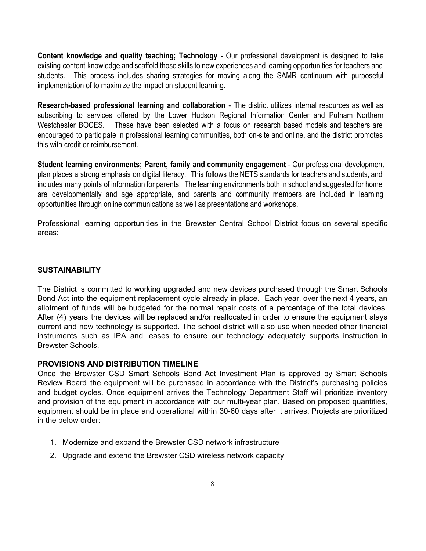**Content knowledge and quality teaching; Technology - Our professional development is designed to take** existing content knowledge and scaffold those skills to new experiences and learning opportunities for teachers and students. This process includes sharing strategies for moving along the SAMR continuum with purposeful implementation of to maximize the impact on student learning.

**Research-based professional learning and collaboration - The district utilizes internal resources as well as** subscribing to services offered by the Lower Hudson Regional Information Center and Putnam Northern Westchester BOCES. These have been selected with a focus on research based models and teachers are encouraged to participate in professional learning communities, both on-site and online, and the district promotes this with credit or reimbursement.

**Student learning environments; Parent, family and community engagement** Our professional development plan places a strong emphasis on digital literacy. This follows the NETS standards for teachers and students, and includes many points of information for parents. The learning environments both in school and suggested for home are developmentally and age appropriate, and parents and community members are included in learning opportunities through online communications as well as presentations and workshops.

Professional learning opportunities in the Brewster Central School District focus on several specific areas:

#### **SUSTAINABILITY**

The District is committed to working upgraded and new devices purchased through the Smart Schools Bond Act into the equipment replacement cycle already in place. Each year, over the next 4 years, an allotment of funds will be budgeted for the normal repair costs of a percentage of the total devices. After (4) years the devices will be replaced and/or reallocated in order to ensure the equipment stays current and new technology is supported. The school district will also use when needed other financial instruments such as IPA and leases to ensure our technology adequately supports instruction in Brewster Schools.

## **PROVISIONS AND DISTRIBUTION TIMELINE**

Once the Brewster CSD Smart Schools Bond Act Investment Plan is approved by Smart Schools Review Board the equipment will be purchased in accordance with the District's purchasing policies and budget cycles. Once equipment arrives the Technology Department Staff will prioritize inventory and provision of the equipment in accordance with our multi-year plan. Based on proposed quantities, equipment should be in place and operational within 30-60 days after it arrives. Projects are prioritized in the below order:

- 1. Modernize and expand the Brewster CSD network infrastructure
- 2. Upgrade and extend the Brewster CSD wireless network capacity